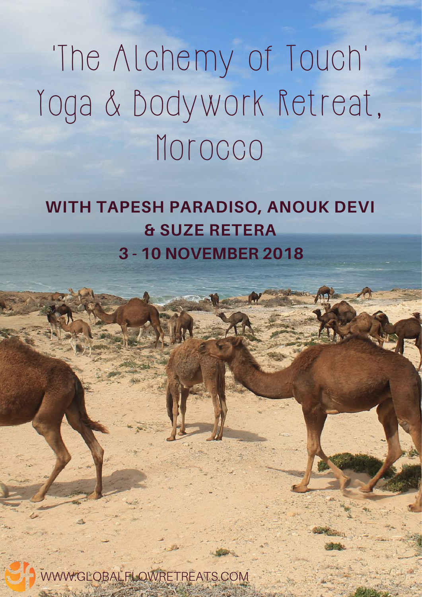# 'The Alchemy of Touch' Yoga & Bodywork Retreat, Morocco

## WITH TAPESH PARADISO, ANOUK DEVI & SUZE RETERA 3 - 10 NOVEMBER 2018

WWW.GLOBALFLOWRETREATS.COM

FAJR NORTH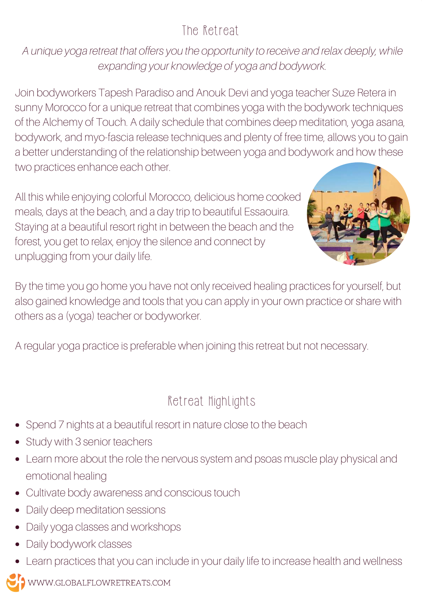## The Retreat

A unique yoga retreat that offers you the opportunity to receive and relax deeply, while expanding your knowledge of yoga and bodywork.

Join bodyworkers Tapesh Paradiso and Anouk Devi and yoga teacher Suze Retera in sunny Morocco for a unique retreat that combines yoga with the bodywork techniques of the Alchemy of Touch. A daily schedule that combines deep meditation, yoga asana, bodywork, and myo-fascia release techniques and plenty of free time, allows you to gain a better understanding of the relationship between yoga and bodywork and how these two practices enhance each other.

All this while enjoying colorful Morocco, delicious home cooked meals, days at the beach, and a day trip to beautiful Essaouira. Staying at a beautiful resort right in between the beach and the forest, you get to relax, enjoy the silence and connect by unplugging from your daily life.



By the time you go home you have not only received healing practices for yourself, but also gained knowledge and tools that you can apply in your own practice or share with others as a (yoga) teacher or bodyworker.

A regular yoga practice is preferable when joining this retreat but not necessary.

## Retreat Highlights

- Spend 7 nights at a beautiful resort in nature close to the beach
- Study with 3 senior teachers
- Learn more about the role the nervous system and psoas muscle play physical and emotional healing
- Cultivate body awareness and conscious touch
- Daily deep meditation sessions
- Daily yoga classes and workshops
- Daily bodywork classes
- Learn practices that you can include in your daily life to increase health and wellness

WWW.GLOBALFLOWRETREATS.COM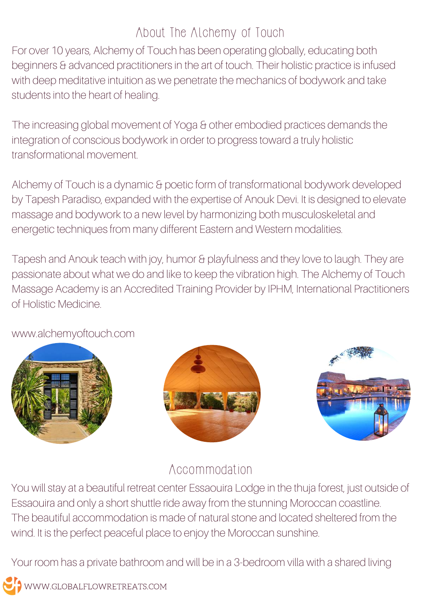## About The Alchemy of Touch

For over 10 years, Alchemy of Touch has been operating globally, educating both beginners & advanced practitioners in the art of touch. Their holistic practice is infused with deep meditative intuition as we penetrate the mechanics of bodywork and take students into the heart of healing.

The increasing global movement of Yoga & other embodied practices demands the integration of conscious bodywork in order to progress toward a truly holistic transformational movement.

Alchemy of Touch is a dynamic & poetic form of transformational bodywork developed by Tapesh Paradiso, expanded with the expertise of Anouk Devi. It is designed to elevate massage and bodywork to a new level by harmonizing both musculoskeletal and energetic techniques from many different Eastern and Western modalities.

Tapesh and Anouk teach with joy, humor & playfulness and they love to laugh. They are passionate about what we do and like to keep the vibration high. The Alchemy of Touch Massage Academy is an Accredited Training Provider by IPHM, International Practitioners of Holistic Medicine.









### Accommodation

You will stay at a beautiful retreat center Essaouira Lodge in the thuja forest, just outside of Essaouira and only a short shuttle ride away from the stunning Moroccan coastline. The beautiful accommodation is made of natural stone and located sheltered from the wind. It is the perfect peaceful place to enjoy the Moroccan sunshine.

Your room has a private bathroom and will be in a 3-bedroom villa with a shared living

WWW.GLOBALFLOWRETREATS.COM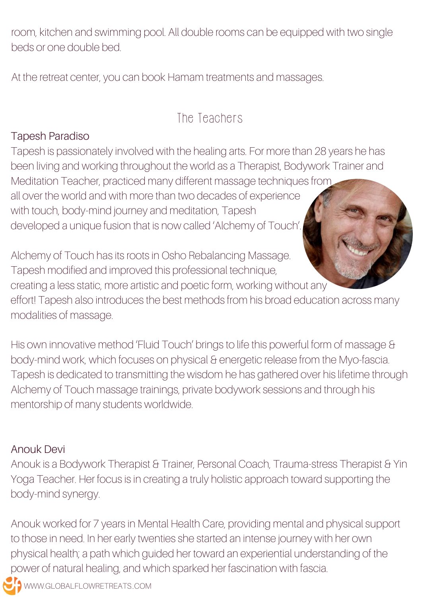room, kitchen and swimming pool. All double rooms can be equipped with two single beds or one double bed.

At the retreat center, you can book Hamam treatments and massages.

## The Teachers

#### Tapesh Paradiso

Tapesh is passionately involved with the healing arts. For more than 28 years he has been living and working throughout the world as a Therapist, Bodywork Trainer and Meditation Teacher, practiced many different massage techniques from all over the world and with more than two decades of experience with touch, body-mind journey and meditation, Tapesh developed a unique fusion that is now called 'Alchemy of Touch'.

Alchemy of Touch has its roots in Osho Rebalancing Massage. Tapesh modified and improved this professional technique, creating a less static, more artistic and poetic form, working without any effort! Tapesh also introduces the best methods from his broad education across many modalities of massage.

His own innovative method 'Fluid Touch' brings to life this powerful form of massage & body-mind work, which focuses on physical & energetic release from the Myo-fascia. Tapesh is dedicated to transmitting the wisdom he has gathered over his lifetime through Alchemy of Touch massage trainings, private bodywork sessions and through his mentorship of many students worldwide.

#### Anouk Devi

Anouk is a Bodywork Therapist & Trainer, Personal Coach, Trauma-stress Therapist & Yin Yoga Teacher. Her focus is in creating a truly holistic approach toward supporting the body-mind synergy.

Anouk worked for 7 years in Mental Health Care, providing mental and physical support to those in need. In her early twenties she started an intense journey with her own physical health; a path which guided her toward an experiential understanding of the power of natural healing, and which sparked her fascination with fascia.

**JO** www.GLOBALFLOWRETREATS..COM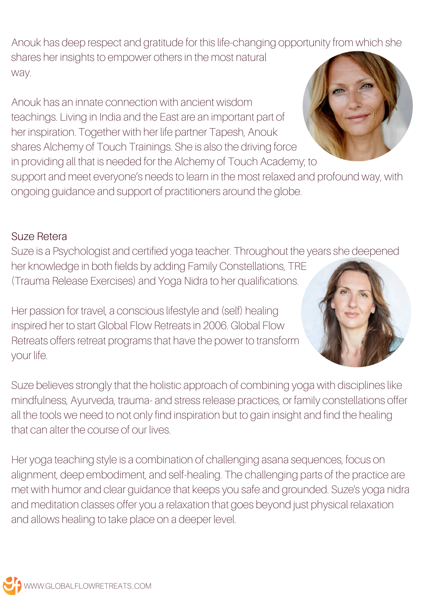Anouk has deep respect and gratitude for this life-changing opportunity from which she shares her insights to empower others in the most natural way.

Anouk has an innate connection with ancient wisdom teachings. Living in India and the East are an important part of her inspiration. Together with her life partner Tapesh, Anouk shares Alchemy of Touch Trainings. She is also the driving force

in providing all that is needed for the Alchemy of Touch Academy; to

support and meet everyone's needs to learn in the most relaxed and profound way, with ongoing guidance and support of practitioners around the globe.

#### Suze Retera

Suze is a Psychologist and certified yoga teacher. Throughout the years she deepened her knowledge in both fields by adding Family Constellations, TRE (Trauma Release Exercises) and Yoga Nidra to her qualifications.

Her passion for travel, a conscious lifestyle and (self) healing inspired her to start Global Flow Retreats in 2006. Global Flow Retreats offers retreat programs that have the power to transform your life.

Suze believes strongly that the holistic approach of combining yoga with disciplines like mindfulness, Ayurveda, trauma- and stress release practices, or family constellations offer all the tools we need to not only find inspiration but to gain insight and find the healing that can alter the course of our lives.

Her yoga teaching style is a combination of challenging asana sequences, focus on alignment, deep embodiment, and self-healing. The challenging parts of the practice are met with humor and clear guidance that keeps you safe and grounded. Suze's yoga nidra and meditation classes offer you a relaxation that goes beyond just physical relaxation and allows healing to take place on a deeper level.



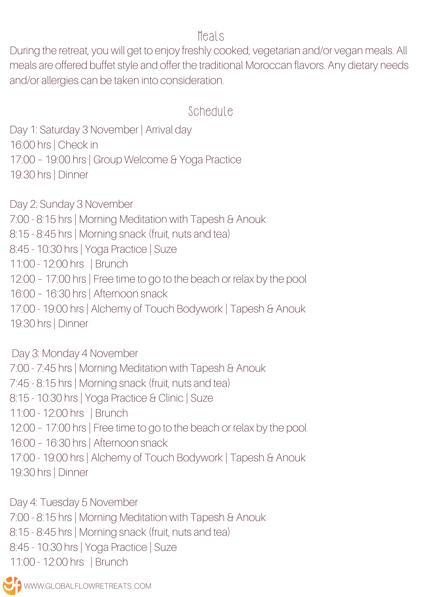#### Meals

During the retreat, you will get to enjoy freshly cooked, vegetarian and/or vegan meals. All meals are offered buffet style and offer the traditional Moroccan flavors. Any dietary needs and/or allergies can be taken into consideration.

#### Schedule

Day 1: Saturday 3 November | Arrival day 16:00 hrs | Check in 17:00 – 19:00 hrs | Group Welcome & Yoga Practice 19:30 hrs | Dinner

Day 2: Sunday 3 November 7:00 - 8:15 hrs | Morning Meditation with Tapesh & Anouk 8:15 - 8:45 hrs | Morning snack (fruit, nuts and tea) 8:45 - 10:30 hrs | Yoga Practice | Suze 11:00 - 12:00 hrs | Brunch 12:00 – 17:00 hrs | Free time to go to the beach or relax by the pool 16:00 – 16:30 hrs | Afternoon snack 17:00 - 19:00 hrs | Alchemy of Touch Bodywork | Tapesh & Anouk 19:30 hrs | Dinner

Day 3: Monday 4 November 7:00 - 7:45 hrs | Morning Meditation with Tapesh & Anouk 7:45 - 8:15 hrs | Morning snack (fruit, nuts and tea) 8:15 - 10:30 hrs | Yoga Practice & Clinic | Suze 11:00 - 12:00 hrs | Brunch 12:00 – 17:00 hrs | Free time to go to the beach or relax by the pool 16:00 – 16:30 hrs | Afternoon snack 17:00 - 19:00 hrs | Alchemy of Touch Bodywork | Tapesh & Anouk 19:30 hrs | Dinner

Day 4: Tuesday 5 November 7:00 - 8:15 hrs | Morning Meditation with Tapesh & Anouk 8:15 - 8:45 hrs | Morning snack (fruit, nuts and tea) 8:45 - 10:30 hrs | Yoga Practice | Suze 11:00 - 12:00 hrs | Brunch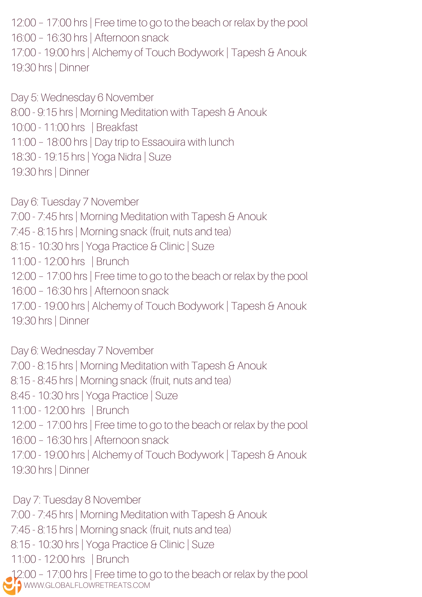12:00 – 17:00 hrs | Free time to go to the beach or relax by the pool 16:00 – 16:30 hrs | Afternoon snack 17:00 - 19:00 hrs | Alchemy of Touch Bodywork | Tapesh & Anouk 19:30 hrs | Dinner

Day 5: Wednesday 6 November 8:00 - 9:15 hrs | Morning Meditation with Tapesh & Anouk 10:00 - 11:00 hrs | Breakfast 11:00 – 18:00 hrs | Day trip to Essaouira with lunch 18:30 - 19:15 hrs | Yoga Nidra | Suze 19:30 hrs | Dinner

Day 6: Tuesday 7 November 7:00 - 7:45 hrs | Morning Meditation with Tapesh & Anouk 7:45 - 8:15 hrs | Morning snack (fruit, nuts and tea) 8:15 - 10:30 hrs | Yoga Practice & Clinic | Suze 11:00 - 12:00 hrs | Brunch 12:00 – 17:00 hrs | Free time to go to the beach or relax by the pool 16:00 – 16:30 hrs | Afternoon snack 17:00 - 19:00 hrs | Alchemy of Touch Bodywork | Tapesh & Anouk 19:30 hrs | Dinner

Day 6: Wednesday 7 November 7:00 - 8:15 hrs | Morning Meditation with Tapesh & Anouk 8:15 - 8:45 hrs | Morning snack (fruit, nuts and tea) 8:45 - 10:30 hrs | Yoga Practice | Suze 11:00 - 12:00 hrs | Brunch 12:00 – 17:00 hrs | Free time to go to the beach or relax by the pool 16:00 – 16:30 hrs | Afternoon snack 17:00 - 19:00 hrs | Alchemy of Touch Bodywork | Tapesh & Anouk 19:30 hrs | Dinner

WWW.GLOBALFLOWRETREATS.COM Day 7: Tuesday 8 November 7:00 - 7:45 hrs | Morning Meditation with Tapesh & Anouk 7:45 - 8:15 hrs | Morning snack (fruit, nuts and tea) 8:15 - 10:30 hrs | Yoga Practice & Clinic | Suze 11:00 - 12:00 hrs | Brunch 12:00 – 17:00 hrs | Free time to go to the beach or relax by the pool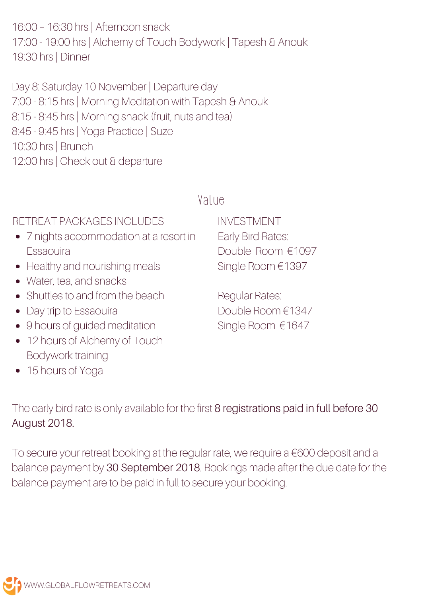16:00 – 16:30 hrs | Afternoon snack 17:00 - 19:00 hrs | Alchemy of Touch Bodywork | Tapesh & Anouk 19:30 hrs | Dinner

Day 8: Saturday 10 November | Departure day 7:00 - 8:15 hrs | Morning Meditation with Tapesh & Anouk 8:15 - 8:45 hrs | Morning snack (fruit, nuts and tea) 8:45 - 9:45 hrs | Yoga Practice | Suze 10:30 hrs | Brunch 12:00 hrs | Check out & departure

#### Value

RETREAT PACKAGES INCLUDES

- 7 nights accommodation at a resort in Essaouira
- Healthy and nourishing meals
- Water, tea, and snacks
- Shuttles to and from the beach
- Day trip to Essaouira
- 9 hours of guided meditation
- 12 hours of Alchemy of Touch Bodywork training
- 15 hours of Yoga

INVESTMENT Early Bird Rates: Double Room €1097 Single Room €1397

Regular Rates: Double Room €1347 Single Room €1647

The early bird rate is only available for the first 8 registrations paid in full before 30 August 2018.

To secure your retreat booking at the regular rate, we require a €600 deposit and a balance payment by 30 September 2018. Bookings made after the due date for the balance payment are to be paid in full to secure your booking.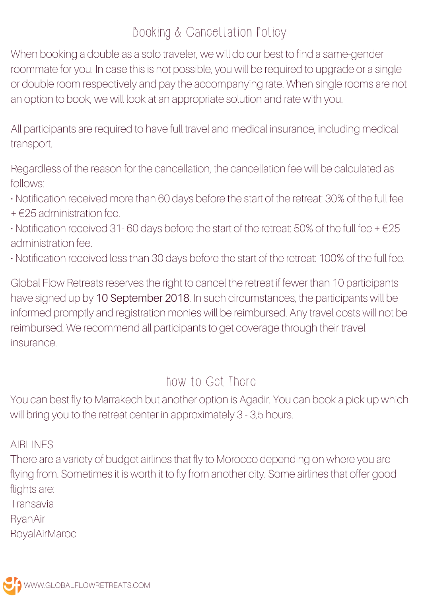## Booking & Cancellation Policy

When booking a double as a solo traveler, we will do our best to find a same-gender roommate for you. In case this is not possible, you will be required to upgrade or a single or double room respectively and pay the accompanying rate. When single rooms are not an option to book, we will look at an appropriate solution and rate with you.

All participants are required to have full travel and medical insurance, including medical transport.

Regardless of the reason for the cancellation, the cancellation fee will be calculated as follows:

- Notification received more than 60 days before the start of the retreat: 30% of the full fee
- $+$   $\in$  25 administration fee.
- Notification received 31-60 days before the start of the retreat: 50% of the full fee  $+ \epsilon$ 25 administration fee.
- Notification received less than 30 days before the start of the retreat: 100% of the full fee.

Global Flow Retreats reserves the right to cancel the retreat if fewer than 10 participants have signed up by 10 September 2018. In such circumstances, the participants will be informed promptly and registration monies will be reimbursed. Any travel costs will not be reimbursed. We recommend all participants to get coverage through their travel insurance.

#### How to Get There

You can best fly to Marrakech but another option is Agadir. You can book a pick up which will bring you to the retreat center in approximately 3 - 3,5 hours.

AIRLINES

There are a variety of budget airlines that fly to Morocco depending on where you are flying from. Sometimes it is worth it to fly from another city. Some airlines that offer good flights are:

Transavia

RyanAir

RoyalAirMaroc

WWW.GLOBALFLOWRETREATS.COM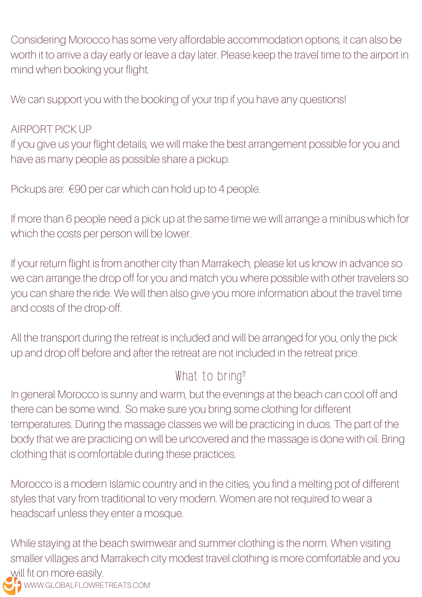Considering Morocco has some very affordable accommodation options, it can also be worth it to arrive a day early or leave a day later. Please keep the travel time to the airport in mind when booking your flight.

We can support you with the booking of your trip if you have any questions!

#### AIRPORT PICK UP

If you give us your flight details, we will make the best arrangement possible for you and have as many people as possible share a pickup.

Pickups are: €90 per car which can hold up to 4 people.

If more than 6 people need a pick up at the same time we will arrange a minibus which for which the costs per person will be lower.

If your return flight is from another city than Marrakech, please let us know in advance so we can arrange the drop off for you and match you where possible with other travelers so you can share the ride. We will then also give you more information about the travel time and costs of the drop-off.

All the transport during the retreat is included and will be arranged for you, only the pick up and drop off before and after the retreat are not included in the retreat price.

## What to bring?

In general Morocco is sunny and warm, but the evenings at the beach can cool off and there can be some wind. So make sure you bring some clothing for different temperatures. During the massage classes we will be practicing in duos. The part of the body that we are practicing on will be uncovered and the massage is done with oil. Bring clothing that is comfortable during these practices.

Morocco is a modern Islamic country and in the cities, you find a melting pot of different styles that vary from traditional to very modern. Women are not required to wear a headscarf unless they enter a mosque.

**WWW.GLOBALFLOWRETREATS.COM** While staying at the beach swimwear and summer clothing is the norm. When visiting smaller villages and Marrakech city modest travel clothing is more comfortable and you will fit on more easily.